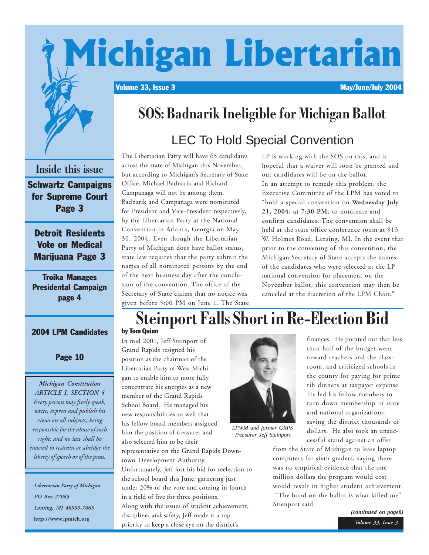# Michigan Libertarian

Volume 33, Issue 3 May/June/July 2004



### **SOS: Badnarik Ineligible for Michigan Ballot**

### LEC To Hold Special Convention

**Inside this issue** Schwartz Campaigns for Supreme Court Page 3 Detroit Residents

Vote on Medical Marijuana Page 3

Troika Manages Presidental Campaign page 4

#### 2004 LPM Candidates

#### Page 10

*Michigan Constitution ARTICLE I, SECTION 5 Every person may freely speak, write, express and publish his views on all subjects, being responsible for the abuse of such right; and no law shall be enacted to restrain or abridge the liberty of speech or of the press.*

*Libertarian Party of Michigan PO Box 27065 Lansing, MI 48909-7065* **http://www.lpmich.org**

The Libertarian Party will have 65 candidates across the state of Michigan this November, but according to Michigan's Secretary of State Office, Michael Badnarik and Richard Campanaga will not be among them. Badnarik and Campanaga were nominated for President and Vice-President respectively, by the Libertarian Party at the National Convention in Atlanta, Georgia on May 30, 2004. Even though the Libertarian Party of Michigan does have ballot status, state law requires that the party submit the names of all nominated persons by the end of the next business day after the conclusion of the convention. The office of the Secretary of State claims that no notice was given before 5:00 PM on June 1. The State LP is working with the SOS on this, and is hopeful that a waiver will soon be granted and our candidates will be on the ballot. In an attempt to remedy this problem, the Executive Committee of the LPM has voted to "hold a special convention on **Wednesday July 21, 2004, at 7:30 PM**, to nominate and confirm candidates. The convention shall be held at the state office conference room at 913 W. Holmes Road, Lansing, MI. In the event that prior to the convening of this convention, the Michigan Secretary of State accepts the names of the candidates who were selected at the LP national convention for placement on the November ballot, this convention may then be canceled at the discretion of the LPM Chair."

### **Steinport Falls Short in Re-Election Bid**

In mid 2001, Jeff Steinport of Grand Rapids resigned his position as the chairman of the Libertarian Party of West Michigan to enable him to more fully concentrate his energies as a new member of the Grand Rapids School Board. He managed his new responsibilities so well that his fellow board members assigned him the position of treasurer and



*LPWM and former GRPS Treasurer Jeff Steinport*

also selected him to be their representative on the Grand Rapids Downtown Development Authority. Unfortunately, Jeff lost his bid for reelection to the school board this June, garnering just under 20% of the vote and coming in fourth in a field of five for three positions. Along with the issues of student achievement, discipline, and safety, Jeff made it a top priority to keep a close eye on the district's

than half of the budget went toward teachers and the classroom, and criticized schools in the county for paying for prime rib dinners at taxpayer expense. He led his fellow members to turn down membership in state and national organizations, saving the district thousands of dollars. He also took an unsuccessful stand against an offer

finances. He pointed out that less

from the State of Michigan to lease laptop computers for sixth graders, saying there was no empirical evidence that the one million dollars the program would cost would result in higher student achievement. "The bond on the ballot is what killed me" Stienport said.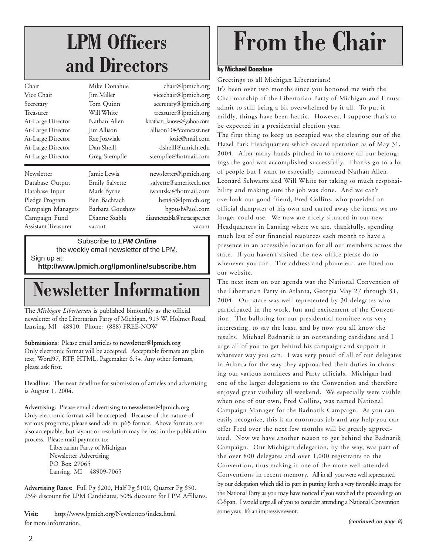### **LPM Officers and Directors**

| Chair               | Mike Donahue          | chair@lpmich.org          |
|---------------------|-----------------------|---------------------------|
| Vice Chair          | Jim Miller            | vicechair@lpmich.org      |
| Secretary           | Tom Quinn             | secretary@lpmich.org      |
| Treasurer           | Will White            | treasurer@lpmich.org      |
| At-Large Director   | Nathan Allen          | knathan_knows@yahoo.com   |
| At-Large Director   | Jim Allison           | allison10@comcast.net     |
| At-Large Director   | Rae Jozwiak           | jozie@mail.com            |
| At-Large Director   | Dan Sheill            | dsheill@umich.edu         |
| At-Large Director   | Greg Stempfle         | stempfle@hotmail.com      |
| Newsletter          | Jamie Lewis           | newsletter@lpmich.org     |
| Database Output     | <b>Emily Salvette</b> | salvette@ameritech.net    |
| Database Input      | Mark Byrne            | iwantska@hotmail.com      |
| Pledge Program      | Ben Bachrach          | ben45@lpmich.org          |
| Campaign Managers   | Barbara Goushaw       | bgoush@aol.com            |
| Campaign Fund       | Dianne Szabla         | dianneszabla@netscape.net |
| Assistant Treasurer | vacant                | vacant                    |
|                     |                       |                           |

Subscribe to *LPM Online*

the weekly email newsletter of the LPM.

Sign up at:

**http://www.lpmich.org/lpmonline/subscribe.htm**

### **Newsletter Information**

The *Michigan Libertarian* is published bimonthly as the official newsletter of the Libertarian Party of Michigan, 913 W. Holmes Road, Lansing, MI 48910. Phone: (888) FREE-NOW

#### **Submissions:** Please email articles to **newsletter@lpmich.org** Only electronic format will be accepted. Acceptable formats are plain

text, Word97, RTF, HTML, Pagemaker 6.5+. Any other formats, please ask first.

**Deadline:** The next deadline for submission of articles and advertising is August 1, 2004.

**Advertising:** Please email advertising to **newsletter@lpmich.org** Only electronic format will be accepted. Because of the nature of various programs, please send ads in .p65 format. Above formats are also acceptable, but layout or resolution may be lost in the publication process. Please mail payment to:

> Libertarian Party of Michigan Newsletter Advertising PO Box 27065 Lansing, MI 48909-7065

**Advertising Rates:** Full Pg \$200, Half Pg \$100, Quarter Pg \$50. 25% discount for LPM Candidates, 50% discount for LPM Affiliates.

**Visit:** http://www.lpmich.org/Newsletters/index.html for more information.

# **From the Chair**

#### by Michael Donahue

Greetings to all Michigan Libertarians!

It's been over two months since you honored me with the Chairmanship of the Libertarian Party of Michigan and I must admit to still being a bit overwhelmed by it all. To put it mildly, things have been hectic. However, I suppose that's to be expected in a presidential election year.

The first thing to keep us occupied was the clearing out of the Hazel Park Headquarters which ceased operation as of May 31, 2004. After many hands pitched in to remove all our belongings the goal was accomplished successfully. Thanks go to a lot of people but I want to especially commend Nathan Allen, Leonard Schwartz and Will White for taking so much responsibility and making sure the job was done. And we can't overlook our good friend, Fred Collins, who provided an official dumpster of his own and carted away the items we no longer could use. We now are nicely situated in our new Headquarters in Lansing where we are, thankfully, spending much less of our financial resources each month to have a presence in an accessible location for all our members across the state. If you haven't visited the new office please do so whenever you can. The address and phone etc. are listed on our website.

The next item on our agenda was the National Convention of the Libertarian Party in Atlanta, Georgia May 27 through 31, 2004. Our state was well represented by 30 delegates who participated in the work, fun and excitement of the Convention. The balloting for our presidential nominee was very interesting, to say the least, and by now you all know the results. Michael Badnarik is an outstanding candidate and I urge all of you to get behind his campaign and support it whatever way you can. I was very proud of all of our delegates in Atlanta for the way they approached their duties in choosing our various nominees and Party officials. Michigan had one of the larger delegations to the Convention and therefore enjoyed great visibility all weekend. We especially were visible when one of our own, Fred Collins, was named National Campaign Manager for the Badnarik Campaign. As you can easily recognize, this is an enormous job and any help you can offer Fred over the next few months will be greatly appreciated. Now we have another reason to get behind the Badnarik Campaign. Our Michigan delegation, by the way, was part of the over 800 delegates and over 1,000 registrants to the Convention, thus making it one of the more well attended Conventions in recent memory. All in all, you were well represented by our delegation which did its part in putting forth a very favorable image for the National Party as you may have noticed if you watched the proceedings on C-Span. I would urge all of you to consider attending a National Convention some year. It's an impressive event.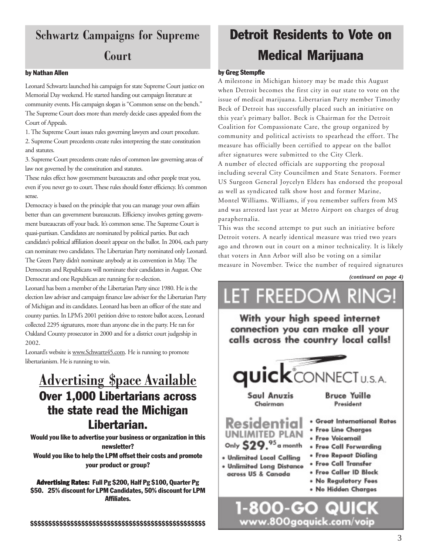### **Schwartz Campaigns for Supreme**

#### **Court**

#### by Nathan Allen

Leonard Schwartz launched his campaign for state Supreme Court justice on Memorial Day weekend. He started handing out campaign literature at community events. His campaign slogan is "Common sense on the bench." The Supreme Court does more than merely decide cases appealed from the Court of Appeals.

1. The Supreme Court issues rules governing lawyers and court procedure. 2. Supreme Court precedents create rules interpreting the state constitution and statutes.

3. Supreme Court precedents create rules of common law governing areas of law not governed by the constitution and statutes.

These rules effect how government bureaucrats and other people treat you, even if you never go to court. These rules should foster efficiency. It's common sense.

Democracy is based on the principle that you can manage your own affairs better than can government bureaucrats. Efficiency involves getting government bureaucrats off your back. It's common sense. The Supreme Court is quasi-partisan. Candidates are nominated by political parties. But each candidate's political affiliation doesn't appear on the ballot. In 2004, each party can nominate two candidates. The Libertarian Party nominated only Leonard. The Green Party didn't nominate anybody at its convention in May. The Democrats and Republicans will nominate their candidates in August. One Democrat and one Republican are running for re-election.

Leonard has been a member of the Libertarian Party since 1980. He is the election law adviser and campaign finance law adviser for the Libertarian Party of Michigan and its candidates. Leonard has been an officer of the state and county parties. In LPM's 2001 petition drive to restore ballot access, Leonard collected 2295 signatures, more than anyone else in the party. He ran for Oakland County prosecutor in 2000 and for a district court judgeship in 2002.

Leonard's website is www.Schwartz45.com. He is running to promote libertarianism. He is running to win.

### **Advertising \$pace Available** Over 1,000 Libertarians across the state read the Michigan Libertarian.

Would you like to advertise your business or organization in this newsletter? Would you like to help the LPM offset their costs and promote your product or group?

Advertising Rates: Full Pg \$200, Half Pg \$100, Quarter Pg \$50. 25% discount for LPM Candidates, 50% discount for LPM Affiliates.

### Detroit Residents to Vote on Medical Marijuana

#### by Greg Stempfle

A milestone in Michigan history may be made this August when Detroit becomes the first city in our state to vote on the issue of medical marijuana. Libertarian Party member Timothy Beck of Detroit has successfully placed such an initiative on this year's primary ballot. Beck is Chairman for the Detroit Coalition for Compassionate Care, the group organized by community and political activists to spearhead the effort. The measure has officially been certified to appear on the ballot after signatures were submitted to the City Clerk.

A number of elected officials are supporting the proposal including several City Councilmen and State Senators. Former US Surgeon General Joycelyn Elders has endorsed the proposal as well as syndicated talk show host and former Marine, Montel Williams. Williams, if you remember suffers from MS and was arrested last year at Metro Airport on charges of drug paraphernalia.

This was the second attempt to put such an initiative before Detroit voters. A nearly identical measure was tried two years ago and thrown out in court on a minor technicality. It is likely that voters in Ann Arbor will also be voting on a similar measure in November. Twice the number of required signatures

*(continued on page 4)*



www.800goquick.com/voip

3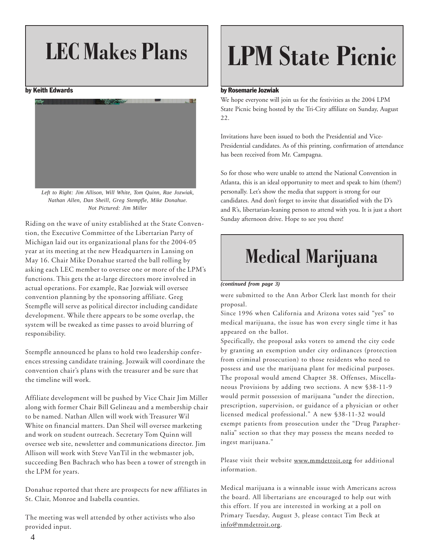#### by Keith Edwards



*Left to Right: Jim Allison, Will White, Tom Quinn, Rae Jozwiak, Nathan Allen, Dan Sheill, Greg Stempfle, Mike Donahue. Not Pictured: Jim Miller*

Sunday afternoon drive. Hope to see you there! Riding on the wave of unity established at the State Convention, the Executive Committee of the Libertarian Party of Michigan laid out its organizational plans for the 2004-05 year at its meeting at the new Headquarters in Lansing on May 16. Chair Mike Donahue started the ball rolling by asking each LEC member to oversee one or more of the LPM's functions. This gets the at-large directors more involved in actual operations. For example, Rae Jozwiak will oversee convention planning by the sponsoring affiliate. Greg Stempfle will serve as political director including candidate development. While there appears to be some overlap, the system will be tweaked as time passes to avoid blurring of responsibility.

Stempfle announced he plans to hold two leadership conferences stressing candidate training. Jozwaik will coordinate the convention chair's plans with the treasurer and be sure that the timeline will work.

Affiliate development will be pushed by Vice Chair Jim Miller along with former Chair Bill Gelineau and a membership chair to be named. Nathan Allen will work with Treasurer Wil White on financial matters. Dan Sheil will oversee marketing and work on student outreach. Secretary Tom Quinn will oversee web site, newsletter and communications director. Jim Allison will work with Steve VanTil in the webmaster job, succeeding Ben Bachrach who has been a tower of strength in the LPM for years.

Donahue reported that there are prospects for new affiliates in St. Clair, Monroe and Isabella counties.

The meeting was well attended by other activists who also provided input.

# LEC Makes Plans | LPM State Picnic

#### by Rosemarie Jozwiak

We hope everyone will join us for the festivities as the 2004 LPM State Picnic being hosted by the Tri-City affiliate on Sunday, August 22.

Invitations have been issued to both the Presidential and Vice-Presidential candidates. As of this printing, confirmation of attendance has been received from Mr. Campagna.

So for those who were unable to attend the National Convention in Atlanta, this is an ideal opportunity to meet and speak to him (them?) personally. Let's show the media that support is strong for our candidates. And don't forget to invite that dissatisfied with the D's and R's, libertarian-leaning person to attend with you. It is just a short

### **Medical Marijuana**

#### *(continued from page 3)*

were submitted to the Ann Arbor Clerk last month for their proposal.

Since 1996 when California and Arizona votes said "yes" to medical marijuana, the issue has won every single time it has appeared on the ballot.

Specifically, the proposal asks voters to amend the city code by granting an exemption under city ordinances (protection from criminal prosecution) to those residents who need to possess and use the marijuana plant for medicinal purposes. The proposal would amend Chapter 38. Offenses, Miscellaneous Provisions by adding two sections. A new §38-11-9 would permit possession of marijuana "under the direction, prescription, supervision, or guidance of a physician or other licensed medical professional." A new §38-11-32 would exempt patients from prosecution under the "Drug Paraphernalia" section so that they may possess the means needed to ingest marijuana."

Please visit their website www.mmdetroit.org for additional information.

Medical marijuana is a winnable issue with Americans across the board. All libertarians are encouraged to help out with this effort. If you are interested in working at a poll on Primary Tuesday, August 3, please contact Tim Beck at info@mmdetroit.org.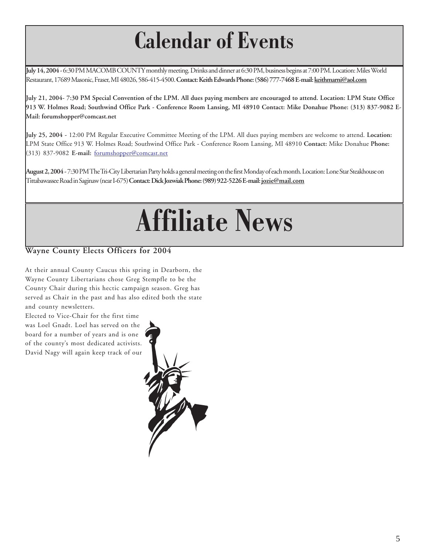## **Calendar of Events**

**July 14, 2004 -** 6:30 PM MACOMB COUNTY monthly meeting. Drinks and dinner at 6:30 PM, business begins at 7:00 PM. Location: Miles World Restaurant, 17689 Masonic, Fraser, MI 48026, 586-415-4500. **Contact: Keith Edwards Phone: (586) 777-7468 E-mail: keithmarni@aol.com**

**July 21, 2004- 7:30 PM Special Convention of the LPM. All dues paying members are encouraged to attend. Location: LPM State Office 913 W. Holmes Road; Southwind Office Park - Conference Room Lansing, MI 48910 Contact: Mike Donahue Phone: (313) 837-9082 E-Mail: forumshopper@comcast.net**

**July 25, 2004 -** 12:00 PM Regular Executive Committee Meeting of the LPM. All dues paying members are welcome to attend. **Location:** LPM State Office 913 W. Holmes Road; Southwind Office Park - Conference Room Lansing, MI 48910 **Contact:** Mike Donahue **Phone:** (313) 837-9082 **E-mail:** forumshopper@comcast.net

**August 2, 2004-** 7:30 PM The Tri-City Libertarian Party holds a general meeting on the first Monday of each month. Location: Lone Star Steakhouse on Tittabawassee Road in Saginaw (near I-675) **Contact: Dick Jozwiak Phone: (989) 922-5226 E-mail: jozie@mail.com**

# **Affiliate News**

#### **Wayne County Elects Officers for 2004**

At their annual County Caucus this spring in Dearborn, the Wayne County Libertarians chose Greg Stempfle to be the County Chair during this hectic campaign season. Greg has served as Chair in the past and has also edited both the state and county newsletters.

Elected to Vice-Chair for the first time was Loel Gnadt. Loel has served on the board for a number of years and is one of the county's most dedicated activists. David Nagy will again keep track of our

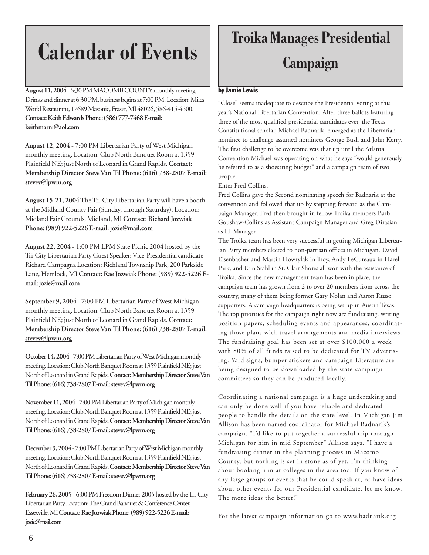## **Calendar of Events**

**August 11, 2004 -** 6:30 PM MACOMB COUNTY monthly meeting. Drinks and dinner at 6:30 PM, business begins at 7:00 PM. Location: Miles World Restaurant, 17689 Masonic, Fraser, MI 48026, 586-415-4500. **Contact: Keith Edwards Phone: (586) 777-7468 E-mail: keithmarni@aol.com**

**August 12, 2004 -** 7:00 PM Libertarian Party of West Michigan monthly meeting. Location: Club North Banquet Room at 1359 Plainfield NE; just North of Leonard in Grand Rapids. **Contact: Membership Director Steve Van Til Phone: (616) 738-2807 E-mail: stevev@lpwm.org**

**August 15-21, 2004** The Tri-City Libertarian Party will have a booth at the Midland County Fair (Sunday, through Saturday). Location: Midland Fair Grounds, Midland, MI **Contact: Richard Jozwiak Phone: (989) 922-5226 E-mail: jozie@mail.com**

**August 22, 2004 -** 1:00 PM LPM State Picnic 2004 hosted by the Tri-City Libertarian Party Guest Speaker: Vice-Presidential candidate Richard Campagna Location: Richland Township Park, 200 Parkside Lane, Hemlock, MI **Contact: Rae Jozwiak Phone: (989) 922-5226 Email: jozie@mail.com**

**September 9, 2004 -** 7:00 PM Libertarian Party of West Michigan monthly meeting. Location: Club North Banquet Room at 1359 Plainfield NE; just North of Leonard in Grand Rapids. **Contact: Membership Director Steve Van Til Phone: (616) 738-2807 E-mail: stevev@lpwm.org**

**October 14, 2004 -** 7:00 PM Libertarian Party of West Michigan monthly meeting. Location: Club North Banquet Room at 1359 Plainfield NE; just North of Leonard in Grand Rapids. **Contact: Membership Director Steve Van Til Phone: (616) 738-2807 E-mail: stevev@lpwm.org**

**November 11, 2004 -** 7:00 PM Libertarian Party of Michigan monthly meeting. Location: Club North Banquet Room at 1359 Plainfield NE; just North of Leonard in Grand Rapids. **Contact: Membership Director Steve Van Til Phone: (616) 738-2807 E-mail: stevev@lpwm.org**

**December 9, 2004 -** 7:00 PM Libertarian Party of West Michigan monthly meeting. Location: Club North Banquet Room at 1359 Plainfield NE; just North of Leonard in Grand Rapids. **Contact: Membership Director Steve Van Til Phone: (616) 738-2807 E-mail: stevev@lpwm.org**

**February 26, 2005 -** 6:00 PM Freedom Dinner 2005 hosted by the Tri-City Libertarian Party Location: The Grand Banquet & Conference Center, Essexville, MI **Contact: Rae Jozwiak Phone: (989) 922-5226 E-mail: jozie@mail.com**

### **Troika Manages Presidential Campaign**

#### by Jamie Lewis

"Close" seems inadequate to describe the Presidential voting at this year's National Libertarian Convention. After three ballots featuring three of the most qualified presidential candidates ever, the Texas Constitutional scholar, Michael Badnarik, emerged as the Libertarian nominee to challenge assumed nominees George Bush and John Kerry. The first challenge to be overcome was that up until the Atlanta Convention Michael was operating on what he says "would generously be referred to as a shoestring budget" and a campaign team of two people.

#### Enter Fred Collins.

Fred Collins gave the Second nominating speech for Badnarik at the convention and followed that up by stepping forward as the Campaign Manager. Fred then brought in fellow Troika members Barb Goushaw-Collins as Assistant Campaign Manager and Greg Dirasian as IT Manager.

The Troika team has been very successful in getting Michigan Libertarian Party members elected to non-partisan offices in Michigan. David Eisenbacher and Martin Howrylak in Troy, Andy LeCureaux in Hazel Park, and Erin Stahl in St. Clair Shores all won with the assistance of Troika. Since the new management team has been in place, the campaign team has grown from 2 to over 20 members from across the country, many of them being former Gary Nolan and Aaron Russo supporters. A campaign headquarters is being set up in Austin Texas. The top priorities for the campaign right now are fundraising, writing position papers, scheduling events and appearances, coordinating those plans with travel arrangements and media interviews. The fundraising goal has been set at over \$100,000 a week with 80% of all funds raised to be dedicated for TV advertising. Yard signs, bumper stickers and campaign Literature are being designed to be downloaded by the state campaign committees so they can be produced locally.

Coordinating a national campaign is a huge undertaking and can only be done well if you have reliable and dedicated people to handle the details on the state level. In Michigan Jim Allison has been named coordinator for Michael Badnarik's campaign. "I'd like to put together a successful trip through Michigan for him in mid September" Allison says. "I have a fundraising dinner in the planning process in Macomb County, but nothing is set in stone as of yet. I'm thinking about booking him at colleges in the area too. If you know of any large groups or events that he could speak at, or have ideas about other events for our Presidential candidate, let me know. The more ideas the better!"

For the latest campaign information go to www.badnarik.org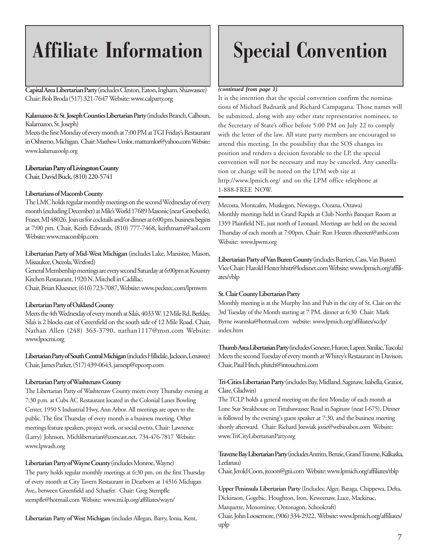### **Affiliate Information**

**Capital Area Libertarian Party** (includes Clinton, Eaton, Ingham, Shiawassee) *(continued from page 1)* Chair: Bob Broda (517) 321-764**7** Website: www.calparty.org

#### **Kalamazoo & St. Joseph Counties Libertarian Party** (includes Branch, Calhoun, Kalamazoo, St. Joseph)

Meets the first Monday of every month at 7:00 PM at TGI Friday's Restaurant in Oshtemo, Michigan. Chair: Matthew Umlor, mattumlor@yahoo.com Website: www.kalamazoolp.org

#### **Libertarian Party of Livingston County**

Chair, David Buck, (810) 220-5741

#### **Libertarians of Macomb County**

The LMC holds regular monthly meetings on the second Wednesday of every month (excluding December) at Mile's World 17689 Masonic (near Groesbeck), Fraser, MI 48026. Join us for cocktails and/or dinner at 6:00 pm, business begins at 7:00 pm. Chair, Keith Edwards, (810) 777-7468, keithmarni@aol.com Website: www.macomblp.com

#### **Libertarian Party of Mid-West Michigan** (includes Lake, Manistee, Mason, Missaukee, Osceola, Wexford)

General Membership meetings are every second Saturday at 6:00pm at Kountry Kitchen Restaurant, 1920 N. Mitchell in Cadillac.

Chair, Brian Kluesner, (616) 723-7087, Website: www.pecktec.com/lpmwm

#### **Libertarian Party of Oakland County**

Meets the 4th Wednesday of every month at Sila's, 4033 W. 12 Mile Rd, Berkley. Sila's is 2 blocks east of Greenfield on the south side of 12 Mile Road. Chair, Nathan Allen (248) 363-3790, nathan1117@msn.com Website: www.lpocmi.org

**Libertarian Party of South Central Michigan (**includes Hillsdale, Jackson, Lenawee) Chair, James Parker, (517) 439-0643, jamesp@epcorp.com

#### **Libertarian Party of Washtenaw County**

The Libertarian Party of Washtenaw County meets every Thursday evening at 7:30 p.m. at Cubs AC Restaurant located in the Colonial Lanes Bowling Center, 1950 S Industrial Hwy, Ann Arbor. All meetings are open to the public. The first Thursday of every month is a business meeting. Other meetings feature speakers, project work, or social events. Chair: Lawrence (Larry) Johnson, Michlibertarian@comcast.net, 734-476-7817 Website: www.lpwash.org

**Libertarian Party of Wayne County** (includes Monroe, Wayne) The party holds regular monthly meetings at 6:30 pm. on the first Thursday of every month at City Tavern Restaurant in Dearborn at 14316 Michigan Ave., between Greenfield and Schaefer. Chair: Greg Stempfle stempfle@hotmail.com Website: www.mi.lp.org/affiliates/wayn/

**Libertarian Party of West Michigan** (includes Allegan, Barry, Ionia, Kent,

### **Special Convention**

It is the intention that the special convention confirm the nominations of Michael Badnarik and Richard Campagana. Those names will be submitted, along with any other state representative nominees, to the Secretary of State's office before 5:00 PM on July 22 to comply with the letter of the law. All state party members are encouraged to attend this meeting. In the possibility that the SOS changes its position and renders a decision favorable to the LP, the special convention will not be necessary and may be canceled. Any cancellation or change will be noted on the LPM web site at http://www.lpmich.org/ and on the LPM office telephone at 1-888-FREE NOW.

Mecosta, Montcalm, Muskegon, Newaygo, Oceana, Ottawa) Monthly meetings held in Grand Rapids at Club North's Banquet Room at 1359 Plainfield NE, just north of Leonard. Meetings are held on the second Thursday of each month at 7:00pm. Chair: Ron Heeren rlheeren@attbi.com Website: www.lpwm.org

**Libertarian Party of Van Buren County** (includes Barrien, Cass, Van Buren) Vice Chair: Harold Hester hhstr@lodisnet.com Website: www.lpmich.org/affiliates/vblp

#### **St. Clair County Libertarian Party**

Monthly meeting is at the Murphy Inn and Pub in the city of St. Clair on the 3rd Tuesday of the Month starting at 7 PM. dinner at 6:30 Chair: Mark Byrne iwantska@hotmail.com website: www.lpmich.org/affiliates/scclp/ index.htm

**Thumb Area Libertarian Party (**includes Genesee, Huron, Lapeer, Sanilac, Tuscola) Meets the second Tuesday of every month at Whitey's Restaurant in Davison. Chair, Paul Hitch, phitch@intouchmi.com

**Tri-Cities Libertarian Party** (includes Bay, Midland, Saginaw, Isabella, Gratiot, Clare, Gladwin)

The TCLP holds a general meeting on the first Monday of each month at Lone Star Steakhouse on Tittabawassee Road in Saginaw (near I-675). Dinner is followed by the evening's guest speaker at 7:30, and the business meeting shortly afterward. Chair: Richard Jozwiak jozie@webinabox.com Website: www.TriCityLibertarianParty.org

#### **Traverse Bay Libertarian Party** (includes Antrim, Benzie, Grand Traverse, Kalkaska, Leelanau)

Chair, Jerold Coon, jtcoon@gtii.com Website: www.lpmich.org/affiliates/tblp

**Upper Peninsula Libertarian Party** (Includes: Alger, Baraga, Chippewa, Delta, Dickinson, Gogebic, Houghton, Iron, Keweenaw, Luce, Mackinac, Marquette, Menominee, Ontonagon, Schoolcraft)

Chair, John Loosemore, (906) 334-2922, Website: www.lpmich.org/affiliates/ uplp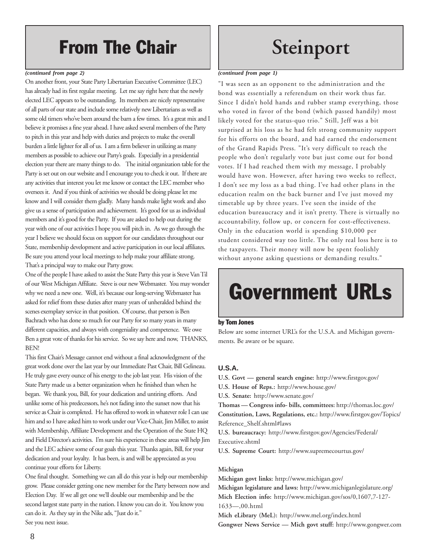### From The Chair

#### *(continued from page 2)*

On another front, your State Party Libertarian Executive Committee (LEC) has already had its first regular meeting. Let me say right here that the newly elected LEC appears to be outstanding. Its members are nicely representative of all parts of our state and include some relatively new Libertarians as well as some old timers who've been around the barn a few times. It's a great mix and I believe it promises a fine year ahead. I have asked several members of the Party to pitch in this year and help with duties and projects to make the overall burden a little lighter for all of us. I am a firm believer in utilizing as many members as possible to achieve our Party's goals. Especially in a presidential election year there are many things to do. The initial organization table for the Party is set out on our website and I encourage you to check it out. If there are any activities that interest you let me know or contact the LEC member who oversees it. And if you think of activities we should be doing please let me know and I will consider them gladly. Many hands make light work and also give us a sense of participation and achievement. It's good for us as individual members and it's good for the Party. If you are asked to help out during the year with one of our activities I hope you will pitch in. As we go through the year I believe we should focus on support for our candidates throughout our State, membership development and active participation in our local affiliates. Be sure you attend your local meetings to help make your affiliate strong. That's a principal way to make our Party grow.

One of the people I have asked to assist the State Party this year is Steve Van Til of our West Michigan Affiliate. Steve is our new Webmaster. You may wonder why we need a new one. Well, it's because our long-serving Webmaster has asked for relief from these duties after many years of unheralded behind the scenes exemplary service in that position. Of course, that person is Ben Bachrach who has done so much for our Party for so many years in many different capacities, and always with congeniality and competence. We owe Ben a great vote of thanks for his service. So we say here and now, THANKS, BEN!

This first Chair's Message cannot end without a final acknowledgment of the great work done over the last year by our Immediate Past Chair, Bill Gelineau. He truly gave every ounce of his energy to the job last year. His vision of the State Party made us a better organization when he finished than when he began. We thank you, Bill, for your dedication and untiring efforts. And unlike some of his predecessors, he's not fading into the sunset now that his service as Chair is completed. He has offered to work in whatever role I can use him and so I have asked him to work under our Vice-Chair, Jim Miller, to assist with Membership, Affiliate Development and the Operation of the State HQ and Field Director's activities. I'm sure his experience in these areas will help Jim and the LEC achieve some of our goals this year. Thanks again, Bill, for your dedication and your loyalty. It has been, is and will be appreciated as you continue your efforts for Liberty.

One final thought. Something we can all do this year is help our membership grow. Please consider getting one new member for the Party between now and Election Day. If we all get one we'll double our membership and be the second largest state party in the nation. I know you can do it. You know you can do it. As they say in the Nike ads, "Just do it." See you next issue.

### **Steinport**

#### *(continued from page 1)*

"I was seen as an opponent to the administration and the bond was essentially a referendum on their work thus far. Since I didn't hold hands and rubber stamp everything, those who voted in favor of the bond (which passed handily) most likely voted for the status-quo trio." Still, Jeff was a bit surprised at his loss as he had felt strong community support for his efforts on the board, and had earned the endorsement of the Grand Rapids Press. "It's very difficult to reach the people who don't regularly vote but just come out for bond votes. If I had reached them with my message, I probably would have won. However, after having two weeks to reflect, I don't see my loss as a bad thing. I've had other plans in the education realm on the back burner and I've just moved my timetable up by three years. I've seen the inside of the education bureaucracy and it isn't pretty. There is virtually no accountability, follow up, or concern for cost-effectiveness. Only in the education world is spending \$10,000 per student considered way too little. The only real loss here is to the taxpayers. Their money will now be spent foolishly without anyone asking questions or demanding results."

### Government URLs

#### by Tom Jones

Below are some internet URL's for the U.S.A. and Michigan governments. Be aware or be square.

#### **U.S.A.**

**U.S. Govt — general search engine:** http://www.firstgov.gov/

**U.S. House of Reps.:** http://www.house.gov/

**U.S. Senate:** http://www.senate.gov/

**Thomas — Congress info- bills, committees:** http://thomas.loc.gov/ **Constitution, Laws, Regulations, etc.:** http://www.firstgov.gov/Topics/ Reference\_Shelf.shtml#laws

**U.S. bureaucracy:** http://www.firstgov.gov/Agencies/Federal/ Executive.shtml

**U.S. Supreme Court:** http://www.supremecourtus.gov/

#### **Michigan**

**Michigan govt links:** http://www.michigan.gov/ **Michigan legislature and laws:** http://www.michiganlegislature.org/ **Mich Election info:** http://www.michigan.gov/sos/0,1607,7-127- 1633—,00.html **Mich eLibrary (MeL):** http://www.mel.org/index.html

**Gongwer News Service — Mich govt stuff:** http://www.gongwer.com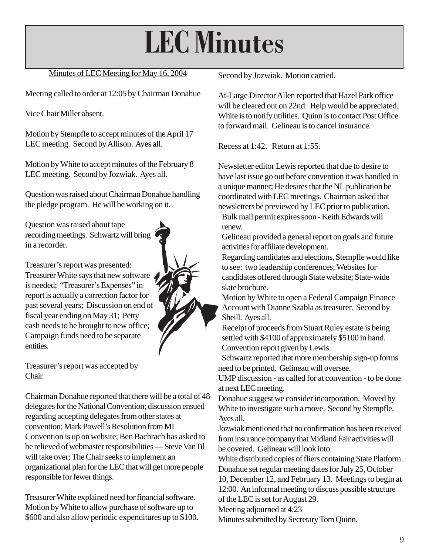# **LEC Minutes**

#### Minutes of LEC Meeting for May 16, 2004

Meeting called to order at 12:05 by Chairman Donahue

Vice Chair Miller absent.

Motion by Stempfle to accept minutes of the April 17 LEC meeting. Second by Allison. Ayes all.

Motion by White to accept minutes of the February 8 LEC meeting. Second by Jozwiak. Ayes all.

Question was raised about Chairman Donahue handling the pledge program. He will be working on it.

Question was raised about tape recording meetings. Schwartz will bring in a recorder.

Treasurer's report was presented: Treasurer White says that new software is needed; "Treasurer's Expenses" in report is actually a correction factor for past several years; Discussion on end of fiscal year ending on May 31; Petty cash needs to be brought to new office; Campaign funds need to be separate entities.

Treasurer's report was accepted by Chair.

Chairman Donahue reported that there will be a total of 48 delegates for the National Convention; discussion ensued regarding accepting delegates from other states at convention; Mark Powell's Resolution from MI Convention is up on website; Ben Bachrach has asked to be relieved of webmaster responsibilities — Steve VanTil will take over; The Chair seeks to implement an organizational plan for the LEC that will get more people responsible for fewer things.

Treasurer White explained need for financial software. Motion by White to allow purchase of software up to \$600 and also allow periodic expenditures up to \$100. Second by Jozwiak. Motion carried.

At-Large Director Allen reported that Hazel Park office will be cleared out on 22nd. Help would be appreciated. White is to notify utilities. Quinn is to contact Post Office to forward mail. Gelineau is to cancel insurance.

Recess at 1:42. Return at 1:55.

Newsletter editor Lewis reported that due to desire to have last issue go out before convention it was handled in a unique manner; He desires that the NL publication be coordinated with LEC meetings. Chairman asked that newsletters be previewed by LEC prior to publication. Bulk mail permit expires soon - Keith Edwards will renew.

Gelineau provided a general report on goals and future activities for affiliate development.

Regarding candidates and elections, Stempfle would like to see: two leadership conferences; Websites for candidates offered through State website; State-wide slate brochure.

Motion by White to open a Federal Campaign Finance Account with Dianne Szabla as treasurer. Second by Sheill. Ayes all.

Receipt of proceeds from Stuart Ruley estate is being settled with \$4100 of approximately \$5100 in hand. Convention report given by Lewis.

Schwartz reported that more membership sign-up forms need to be printed. Gelineau will oversee.

UMP discussion - as called for at convention - to be done at next LEC meeting.

Donahue suggest we consider incorporation. Moved by White to investigate such a move. Second by Stempfle. Ayes all.

Jozwiak mentioned that no confirmation has been received from insurance company that Midland Fair activities will be covered. Gelineau will look into.

White distributed copies of fliers containing State Platform. Donahue set regular meeting dates for July 25, October 10, December 12, and February 13. Meetings to begin at 12:00. An informal meeting to discuss possible structure

of the LEC is set for August 29.

Meeting adjourned at 4:23

Minutes submitted by Secretary Tom Quinn.



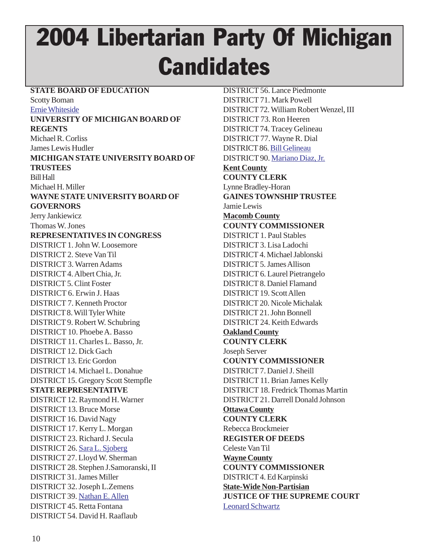## 2004 Libertarian Party Of Michigan **Candidates**

#### **STATE BOARD OF EDUCATION**

Scotty Boman

Ernie Whiteside

#### **UNIVERSITY OF MICHIGAN BOARD OF REGENTS** Michael R. Corliss James Lewis Hudler

**MICHIGAN STATE UNIVERSITY BOARD OF TRUSTEES** Bill Hall Michael H. Miller

#### **WAYNE STATE UNIVERSITY BOARD OF GOVERNORS**

Jerry Jankiewicz

Thomas W. Jones

#### **REPRESENTATIVES IN CONGRESS**

DISTRICT 1. John W. Loosemore DISTRICT 2. Steve Van Til DISTRICT 3. Warren Adams DISTRICT 4. Albert Chia, Jr. DISTRICT 5. Clint Foster DISTRICT 6. Erwin J. Haas DISTRICT 7. Kenneth Proctor DISTRICT 8. Will Tyler White DISTRICT 9. Robert W. Schubring DISTRICT 10. Phoebe A. Basso DISTRICT 11. Charles L. Basso, Jr. DISTRICT 12. Dick Gach DISTRICT 13. Eric Gordon DISTRICT 14. Michael L. Donahue DISTRICT 15. Gregory Scott Stempfle **STATE REPRESENTATIVE** DISTRICT 12. Raymond H. Warner DISTRICT 13. Bruce Morse DISTRICT 16. David Nagy DISTRICT 17. Kerry L. Morgan DISTRICT 23. Richard J. Secula DISTRICT 26. Sara L. Sjoberg DISTRICT 27. Lloyd W. Sherman DISTRICT 28. Stephen J.Samoranski, II DISTRICT 31. James Miller DISTRICT 32. Joseph L.Zemens DISTRICT 39. Nathan E. Allen DISTRICT 45. Retta Fontana DISTRICT 54. David H. Raaflaub

DISTRICT 56. Lance Piedmonte DISTRICT 71. Mark Powell DISTRICT 72. William Robert Wenzel, III DISTRICT 73. Ron Heeren DISTRICT 74. Tracey Gelineau DISTRICT 77. Wayne R. Dial DISTRICT 86. Bill Gelineau DISTRICT 90. Mariano Diaz, Jr. **Kent County COUNTY CLERK** Lynne Bradley-Horan **GAINES TOWNSHIP TRUSTEE** Jamie Lewis **Macomb County COUNTY COMMISSIONER** DISTRICT 1. Paul Stables DISTRICT 3. Lisa Ladochi DISTRICT 4. Michael Jablonski DISTRICT 5. James Allison DISTRICT 6. Laurel Pietrangelo DISTRICT 8. Daniel Flamand DISTRICT 19. Scott Allen DISTRICT 20. Nicole Michalak DISTRICT 21. John Bonnell DISTRICT 24. Keith Edwards **Oakland County COUNTY CLERK** Joseph Server **COUNTY COMMISSIONER** DISTRICT 7. Daniel J. Sheill DISTRICT 11. Brian James Kelly DISTRICT 18. Fredrick Thomas Martin DISTRICT 21. Darrell Donald Johnson **Ottawa County COUNTY CLERK** Rebecca Brockmeier **REGISTER OF DEEDS** Celeste Van Til **Wayne County COUNTY COMMISSIONER** DISTRICT 4. Ed Karpinski **State-Wide Non-Partisian JUSTICE OF THE SUPREME COURT** Leonard Schwartz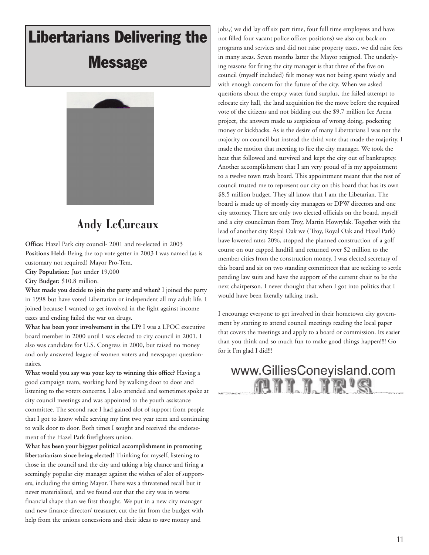### Libertarians Delivering the **Message**



### **Andy LeCureaux**

**Office:** Hazel Park city council- 2001 and re-elected in 2003 **Positions Held:** Being the top vote getter in 2003 I was named (as is customary not required) Mayor Pro-Tem.

**City Population:** Just under 19,000

**City Budget:** \$10.8 million.

**What made you decide to join the party and when?** I joined the party in 1998 but have voted Libertarian or independent all my adult life. I joined because I wanted to get involved in the fight against income taxes and ending failed the war on drugs.

**What has been your involvement in the LP?** I was a LPOC executive board member in 2000 until I was elected to city council in 2001. I also was candidate for U.S. Congress in 2000, but raised no money and only answered league of women voters and newspaper questionnaires.

**What would you say was your key to winning this office?** Having a good campaign team, working hard by walking door to door and listening to the voters concerns. I also attended and sometimes spoke at city council meetings and was appointed to the youth assistance committee. The second race I had gained alot of support from people that I got to know while serving my first two year term and continuing to walk door to door. Both times I sought and received the endorsement of the Hazel Park firefighters union.

**What has been your biggest political accomplishment in promoting libertarianism since being elected?** Thinking for myself, listening to those in the council and the city and taking a big chance and firing a seemingly popular city manager against the wishes of alot of supporters, including the sitting Mayor. There was a threatened recall but it never materialized, and we found out that the city was in worse financial shape than we first thought. We put in a new city manager and new finance director/ treasurer, cut the fat from the budget with help from the unions concessions and their ideas to save money and

jobs,( we did lay off six part time, four full time employees and have not filled four vacant police officer positions) we also cut back on programs and services and did not raise property taxes, we did raise fees in many areas. Seven months latter the Mayor resigned. The underlying reasons for firing the city manager is that three of the five on council (myself included) felt money was not being spent wisely and with enough concern for the future of the city. When we asked questions about the empty water fund surplus, the failed attempt to relocate city hall, the land acquisition for the move before the required vote of the citizens and not bidding out the \$9.7 million Ice Arena project, the answers made us suspicious of wrong doing, pocketing money or kickbacks. As is the desire of many Libertarians I was not the majority on council but instead the third vote that made the majority. I made the motion that meeting to fire the city manager. We took the heat that followed and survived and kept the city out of bankruptcy. Another accomplishment that I am very proud of is my appointment to a twelve town trash board. This appointment meant that the rest of council trusted me to represent our city on this board that has its own \$8.5 million budget. They all know that I am the Libetarian. The board is made up of mostly city managers or DPW directors and one city attorney. There are only two elected officials on the board, myself and a city councilman from Troy, Martin Howrylak. Together with the lead of another city Royal Oak we ( Troy, Royal Oak and Hazel Park) have lowered rates 20%, stopped the planned construction of a golf course on our capped landfill and returned over \$2 million to the member cities from the construction money. I was elected secretary of this board and sit on two standing committees that are seeking to settle pending law suits and have the support of the current chair to be the next chairperson. I never thought that when I got into politics that I would have been literally talking trash.

I encourage everyone to get involved in their hometown city government by starting to attend council meetings reading the local paper that covers the meetings and apply to a board or commission. Its easier than you think and so much fun to make good things happen!!!! Go for it I'm glad I did!!!